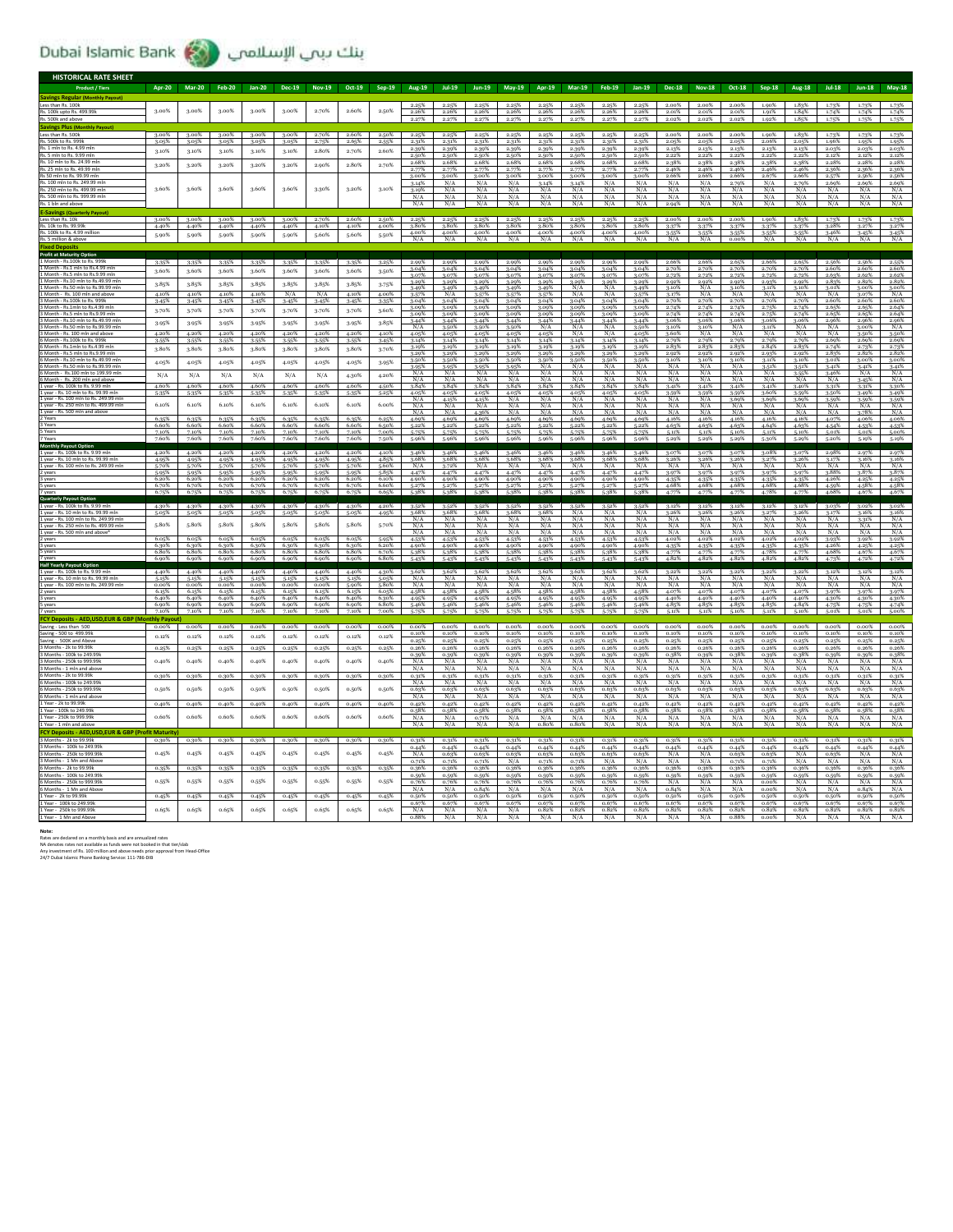## Dubai Islamic Bank إبنك ببي الإسلامي

| <b>HISTORICAL RATE SHEET</b>                                                                                                                                                                    |                     |                   |                   |                   |                   |                   |                |                |                                     |                         |                   |                      |                      |                   |                      |                      |                      |                      |                      |                      |                   |                            |                |                             |
|-------------------------------------------------------------------------------------------------------------------------------------------------------------------------------------------------|---------------------|-------------------|-------------------|-------------------|-------------------|-------------------|----------------|----------------|-------------------------------------|-------------------------|-------------------|----------------------|----------------------|-------------------|----------------------|----------------------|----------------------|----------------------|----------------------|----------------------|-------------------|----------------------------|----------------|-----------------------------|
| Product / Tiers                                                                                                                                                                                 | <b>Apr-20</b>       | <b>Mar-20</b>     | <b>Feb-20</b>     | <b>Jan-20</b>     | <b>Dec-19</b>     | <b>Nov-19</b>     | Oct-19         | $Sep-19$       | Aug-19                              | <b>Jul-19</b>           | Jun-19            | May-19               | Apr-19               | <b>Mar-19</b>     | Feb-19               | $lan-19$             | <b>Dec-18</b>        | <b>Nov-18</b>        | Oct-18               | $Sep-18$             |                   | $Iul-18$                   | $lun-18$       | <b>May-18</b>               |
| <b>Savings Regular (Monthly Payout</b>                                                                                                                                                          |                     |                   |                   |                   |                   |                   |                |                |                                     |                         |                   |                      |                      |                   |                      |                      |                      |                      |                      |                      |                   |                            |                |                             |
| Less than Rs. 100k<br>Rs. 100k upto Rs. 499.99k                                                                                                                                                 | 3.00%               | 3.00%             | 3.00%             | 3.00%             | 3.00%             | 2.70%             | 2.60%          | 2.50%          | 2.25%<br>2.26%                      | 2.26%                   | 2.26%             | 2.25%<br>2.26%       | 2.26%                | 2.26%             | 2.26%                | 2.26%                | 2.00%<br>2.01%       | 2.00%<br>2.01%       | 2.00%<br>2.01%       | 1.90%<br>1.91%       | 1.83%<br>1.84%    | 1.74%                      | 1.73%<br>1.74% | 1.74%                       |
| Rs. 500k and abo                                                                                                                                                                                |                     |                   |                   |                   |                   |                   |                |                |                                     |                         |                   |                      |                      |                   |                      |                      | 2.02%                | 2.02%                | 2.02%                | 1.92%                | 1.85%             |                            | 1.75%          | 1.75%                       |
| <b>Savings Plus (Monthly Payout</b>                                                                                                                                                             |                     |                   |                   |                   |                   |                   |                |                |                                     |                         |                   |                      |                      |                   |                      |                      |                      |                      |                      |                      |                   |                            |                |                             |
| Less than Rs. 500k<br>Rs. 500k to Rs. 999l                                                                                                                                                      | 3.00%<br>3.05%      | 3.00%<br>3.05%    | 3.00%<br>3.05%    | 3.00%<br>3.05%    | 3.00%<br>3.05%    | 2.70%<br>2.75%    | 2.60%<br>2.65% | 2.50%<br>2.55% | 2.25%<br>2.31%                      | 2.25%<br>2.31%          | 2.25%<br>2.31%    | 2.25%<br>2.31%       | 2.25%<br>2.31%       | 2.25%<br>2.31%    | 2.25%<br>2.31%       | 2.25%<br>2.31%       | 2.00%<br>2.05%       | 2.00%<br>2.05%       | 2.00%<br>2.05%       | 1.90%<br>2.06%       | 1.83%<br>2.05%    | 1.73%<br>1.96%             | 1.73%<br>1.95% | 1.73%<br>1.95%              |
| Rs. 1 mln to Rs. 4.99 m<br><b>Pc 5 mln to Pc 0 00 r</b>                                                                                                                                         | 3.10%               | 3.10%             | 3.10%             | 3.10%             | 3.10%             | 2.80%             | 2.70%          | 2.60%          | 2.39%                               | 2.39%                   | 2.39%             | 2.39%                | 2.39%                | 2.39%             | 2.39%                | 2.39%                | 2.13%                | 2.13%                | 2.13%                | 2.13%                | 2.13%             | 2.03%                      | 2.03%          | 2.03%                       |
| Rs. 10 mln to Rs. 24.99 ml                                                                                                                                                                      |                     | 3.20%             | 3.20%             |                   |                   |                   | 2.80%          | 2.70%          | 2.50%<br>2.68%                      | 2.50%<br>2.68%          | 2.50%<br>2.68%    | 2.50%<br>2.68%       | 2.50%<br>2.68%       | 2.50%<br>2.68%    | 2.50%<br>2.68%       | 2.50%<br>2.68%       | 2.22%<br>2.38%       | 2.22%<br>2.38%       | 2.22%<br>2.38%       | 2.22%<br>2.38%       | 2.22%<br>2.38%    | 2.12%<br>2.28%             | 2.12%<br>2.28% | 2.12%<br>2.28%              |
| Rs. 25 mln to Rs. 49.99 ml                                                                                                                                                                      | 3.20%               |                   |                   | 3.20%             | 3.20%             | 2.90%             |                |                | 2.77%                               | 2.77%                   | 2.77%             | 2.77%                | 2.77%                | 2.77%             | 2.77%                | 2.77%                | 2.46%                | 2.46%                | 2.46%                | 2.46%                | 2.46%             | 2.36%                      | 2.36%          | 2.36%                       |
| Rs 50 mln to Rs. 99.99 ml<br>Rs. 100 mln to Rs. 249.99 ml                                                                                                                                       |                     |                   |                   |                   |                   |                   |                |                | 3.00%<br>3.14%                      | 3.00%<br>N/A            | 3.00%<br>N/A      | 3.00%<br>N/A         | 3.00%<br>3.14%       | 3.00%<br>3.14%    | 3.00%<br>N/A         | 3.00%<br>N/A         | 2.66%<br>N/A         | 2.66%<br>N/A         | 2.66%<br>2.79%       | 2.67%<br>N/A         | 2.66%<br>2.79%    | 2.57%<br>2.69%             | 2.56%<br>2.69% | 2.56%<br>2.69%              |
| Rs 250 mln to Rs 499 99 n                                                                                                                                                                       | 3.60%               | 3.60%             | 3.60%             | 3.60%             | 3.60%             | 3.30%             | 3.20%          | 3.10%          | 3.19%                               | N/A                     | N/A               | N/A                  | N/A                  | N/A               | N/A                  | N/A                  | N/A                  | N/A                  | N/A                  | N/A                  | N/A               | N/A                        | N/A            | N/A                         |
| Rs. 500 mln to Rs. 999.99 mlr<br>Ŕś                                                                                                                                                             |                     |                   |                   |                   |                   |                   |                |                | N/A<br>N/A                          | N/A<br>N/A              | N/A               | N/A<br>N/A           | N/A                  | N/A               | N/A<br>N/A           | N/A<br>N/A           | N/A<br>2.94%         | N/A                  | N/A                  | N/A<br>N/A           | N/A<br>N/A        | N/A                        | N/A<br>N/A     | N/A                         |
| <b>E-Savings (Quarterly Pa</b>                                                                                                                                                                  |                     |                   |                   |                   |                   |                   |                |                |                                     |                         |                   |                      |                      |                   |                      |                      |                      |                      |                      |                      |                   |                            |                |                             |
| Less than Rs. 10k                                                                                                                                                                               | 3.00%               | 3.00%             | 3.00%             | 3.00%             | 3.00%             | 2.70%             | 2.60% 2.50%    |                | 2.25%                               | $\frac{2.25\%}{3.80\%}$ | 2.25%             | 2.25%                | 2.25%                | 2.25%             | 2.25%                | 2.25%                | 2.00%                | 2.00%                | 2.00%                | 1.90%                | 1.83%             | 1.73%                      | 1.73%          | 1.73%                       |
| Rs. 10k to Rs. 99.99<br>Rs. 100k to Rs. 4.99 millio                                                                                                                                             | 4.40%<br>5.90%      | 4.40%             | 4.40%             | 4.40%             | 4.40%             | 4.10%<br>5.60%    | 4.10%          | 4.00%          | 3.80%<br>4.00%                      | 4.00%                   | 3.80%<br>4.00%    | 3.80%<br>4.00%       | 3.80%<br>4.00%       | 3.80%<br>4.00%    | 3.80%<br>4.00%       | 3.80%<br>4.00%       | $3-37%$              | 3.37%                | 3.37%<br>3.55%       | 3-37%<br>3-55%       | 3-37%<br>3-55%    | 3.28%<br>3.46%             | 3.27%<br>3.45% | 3.27%                       |
|                                                                                                                                                                                                 |                     | 5.90%             | 5.90%             | 5.90%             | 5.90%             |                   | 5.60%          | 5.50%          | N/A                                 |                         |                   |                      |                      |                   |                      |                      |                      |                      |                      |                      |                   |                            |                |                             |
| Fixed Dr<br>ofit at Maturity Op                                                                                                                                                                 |                     |                   |                   |                   |                   |                   |                |                |                                     |                         |                   |                      |                      |                   |                      |                      |                      |                      |                      |                      |                   |                            |                |                             |
| 1 Month - Rs.100k to Rs. 999k                                                                                                                                                                   | 3-35%               | $3-35%$           | $3.35\%$          | 3-35%             |                   | 3-35% 3-35%       | 3.35%          | 3.25%          |                                     | 2.99% 2.99%             |                   | 2.99% 2.99%          | 2.99%                | 2.99%             | 2.99%                | 2.99%                | 2.66%                | 2.66%                | 2.65%                | 2.66%                | 2.65%             |                            | 2.56% 2.56%    | 2.55%                       |
| 1 Month - Rs 5 mln to Rs 9 99 r                                                                                                                                                                 | 3.60%               | 3.60%             | 3.60%             | 3.60%             | 3.60%             | 3.60%             | 3.60%          | 3-50%          | 3.04%                               | 3.04%                   | 3.04%             | 3.04%                | 3.04%                | 3.04%             | 3.04%                | 3.04%                | 2.70%                | 2.70%                | 2.70%                | 2.70%                | 2.70%             | 2.60%                      | 2.60%          | 2.609                       |
| Month - Rs.10 mln to Rs.49.99                                                                                                                                                                   | 3.85%               | 3.85%             | 3.85%             | 3.85%             | 3.85%             | 3.85%             | 3.85%          | 3-75%          | 3.07%<br>3.29%                      | 3.07%<br>3.29%          | 3.07%<br>3.29%    | 3.07%<br>3.29%       | 3.07%<br>3.29%       | 3.07%<br>3.29%    | 3.07%<br>3.29%       | 3.07%<br>3.29%       | 2.72%<br>2.92%       | 2.72%<br>2.92%       | 2.72%<br>2.92%       | 2.72%<br>2.93%       | 2.72%<br>2.92%    | 2.63%<br>2.83%             | 2.62%<br>2.82% | 2.62%<br>2.82%              |
| 1 Month - Rs.50 mln to Rs.99.99                                                                                                                                                                 | 4.10%               | 4.10%             | 4.10%             | 4.10%             | N/A               | N/A               | 4.10%          | 4.00%          | 3.49%<br>3.57%                      | 3.49%<br>N/A            | 3.49%<br>3.57%    | 3-49%<br>3.57%       | 3.49%<br>3.57%       | N/A<br>N/A        | N/A<br>N/A           | 3.49%<br>3.57%       | 3.10%<br>3.17%       | N/A<br>N/A           | 3.10%<br>N/A         | 3.11%<br>N/A         | 3.10%<br>N/A      | 3.01%<br>N/A               | 3.00%<br>3.07% | 3.00%<br>N/A                |
| Month - Rs.100k to Rs. 999                                                                                                                                                                      | 3.45%               | 3.45%             | 3.45%             | 3.45%             | 3.45%             | 3.45%             | 3.45%          | 3.35%          | 3.04%                               | 3.04%                   | 3.04%             | 3.04%                | 3.04%                | 3.04%             | 3.04%                | 3.04%                | 2.70%                | 2.70%                | 2.70%                | 2.70%                | 2.70%             | 2.60%                      | 2.60%          | 2.60%                       |
| 3 Month - Rs.1mln to Rs.4.99 r<br>Month - Rs.5 mln to Rs.9.99                                                                                                                                   | 3.70%               | 3.70%             | 3.70%             | 3.70%             | 3.70%             | 3.70%             | 3.70%          | 3.60%          | 3.09%<br>3.09%                      | 3.09%<br>3.09%          | 3.09%<br>3.09%    | 3.09%<br>3.09%       | 3.09%<br>3.09%       | 3.09%<br>3.09%    | 3.09%<br>3.09%       | 3.09%<br>3.09%       | 2.74%<br>2.74%       | 2.74%<br>2.74%       | 2.74%<br>2.74%       | 2.75%<br>2.75%       | 2.74%<br>2.74%    | 2.65%<br>2.65%             | 2.65%<br>2.65% | 2.64%<br>2.64%              |
| Month - Rs.10                                                                                                                                                                                   | 3.95%               | 3-95%             | 3.95%             | 3.95%             | 3.95%             | 3.95%             | 3.95%          | 3.85%          | 3.44%                               | 3.44%                   | 3.44%             | 3.44%                | 3.44%                | 3.44%             | 3.44%                | 3.44%                | 3.06%                | 3.06%                | 3.06%                | 3.06%                | 3.06%             | 2.96                       | 2.969          | 2.96%                       |
| 3 Month - Rs.50 mln to Rs.99.99 ml                                                                                                                                                              | 4.20%               | 4.20%             | 4.20%             | 4.20%             | 4.20%             | 4.20%             | 4.20%          | 4.10%          | N/A<br>4.05%                        | 3.50%<br>4.05%          | 3.50%<br>4.05%    | 3-50%<br>4.05%       | N/A<br>4.05%         | N/A<br>N/A        | N/A<br>N/A           | 3.50%<br>4.05%       | 3.10%<br>3.60%       | 3.10%<br>N/A         | N/A<br>N/A           | $\frac{3.11\%}{N/A}$ | N/A<br>N/A        | N/A<br>N/A                 | 3.00%<br>3.50% | N/A<br>3.50%                |
| Month - Re 100k to Re 000                                                                                                                                                                       | 3.55%               | 3-55%             | 3.55%             | 3.55%             | 3-55%             | 3.55%             | 3.55%          | 3.45%          | 3.14%                               | 3.14%                   | 3.14%             | 3.14%                | 3.14%                | 3.14%             | 3.14%                | 3.14%                | 2.79%                | 2.79%                | 2.79%                | 2.79%                | 2.79%             | 2.69%                      | 2.69%          | 2.69%                       |
| Month - Rs.1mln to Rs.4.99 n                                                                                                                                                                    | 3.80%               | 3.80%             | 3.80%             | 3.80%             | 3.80%             | 3.80%             | 3.80%          | 3.70%          | 3.19%<br>3.29%                      | 3.19%<br>3.29%          | 3.19%<br>3.29%    | 3.19%<br>3.29%       | 3.19%<br>3.29%       | 3.19%<br>3.29%    | 3.19%<br>3.29%       | 3.19%<br>3.29%       | 2.83%<br>2.92%       | 2.83%<br>2.92%       | 2.83%<br>2.92%       | 2.84%<br>2.93%       | 2.83%<br>2.92%    | 2.74%<br>2.83%             | 2.73%<br>2.82% | 2.73%<br>2.82%              |
| 6 Month - Rs.10 mln to Rs.49.99                                                                                                                                                                 | 4.05%               | 4.05%             | 4.05%             | 4.05%             | 4.05%             | 4.05%             | 4.05%          | 3.95%          | 3.50%                               | 3.50%                   | 3.50%             | 3.50%                | $\frac{3.50\%}{N/A}$ | 3.50%             | $\frac{3.50\%}{N/A}$ | $\frac{3.50\%}{N/A}$ | $\frac{3.10\%}{N/A}$ | $\frac{3.10\%}{N/A}$ | $\frac{3.10\%}{N/A}$ | 3.11%                | 3.10%             | 3.01%                      | 3.00%          | 3.00%                       |
|                                                                                                                                                                                                 |                     |                   |                   |                   |                   |                   |                |                | 3-95%<br>N/A                        | 3.95%<br>N/A            | 3.959<br>N/2      | 3.95%<br>N/A         | N/A                  | N/A<br>N/A        | N/l                  | N/f                  | N/A                  | N/2                  | N/f                  | 3.51%                | 3.51%<br>3.559    | 3.41%<br>3.46%             | 3.41%<br>N/A   | 3.41%<br>N/A                |
| 6 Month - Rs. 200 mln and abc                                                                                                                                                                   | $\rm N/A$           | N/A               | N/A               | N/A               | N/A               | N/A               | 4.30%          | 4.20%          | N/A                                 | N/A                     | N/A               | N/A                  | N/A                  | N/A               | N/A                  | N/A                  | N/A                  | N/A                  | N/A                  | N/A                  | N/A               | N/A                        | 3.45%          | N/A                         |
| 1 year - Rs. 100k to Rs. 9.99 m<br>Lyear - Rs. 10 mln to Rs. 99.99 m                                                                                                                            | 4.60%<br>5-35%      | 4.60%<br>5.35%    | 4.60%<br>5.35%    | 4.60%<br>5-35%    | 4.60%<br>5.35%    | 4.60%<br>5.35%    | 4.60%<br>5.35% | 4.50%<br>5.25% | 3.84%<br>4.05%                      | 3.84%<br>4.05%          | 3.849<br>4.05     | 3.84%                | 3.84%                | 3.84%<br>4.05%    | 3.84%<br>4.05%       | 3.84%<br>4.05%       | 3.41%                | 3.41%                | 3.41%<br>3.59%       | 3.41%<br>3.60%       | 3.40%<br>3.59%    | 3-31%<br>3.50%             | 3.31%<br>3.49% | 3.30%<br>3.49%              |
| year - Rs. 100                                                                                                                                                                                  |                     |                   |                   |                   |                   |                   |                |                | N/A                                 | 4.15%                   | 4.15%             | $\frac{4.05\%}{N/A}$ | $\frac{4.05\%}{N/A}$ | N/A               | N/A                  | N/A                  | $\frac{3.59\%}{N/A}$ | $\frac{3.59\%}{N/A}$ | 3.69%                | 3.69%                | 3.69%             | 3-59%                      | 3.59%          | 3-59%                       |
| l year - Rs. 250 mln to Rs. 499.99<br>L vear - Rs. 500 mln and                                                                                                                                  | 6.10%               | 6.10%             | 6.10%             | 6.10%             | 6.10%             | 6.10%             | 6.10%          | 6.00%          | N/A<br>N/A                          | N/A<br>N/A              | N/A<br>4.36%      | N/A<br>N/A           | N/A<br>N/A           | N/A<br>N/A        | N/A<br>N/A           | N/A<br>N/A           | N/A<br>N/A           | N/l<br>N/A           | N/A<br>N/A           | N/A<br>N/A           | N/A<br>N/A        | N/A<br>N/A                 | N/A<br>3.78%   | N/A<br>N/A                  |
|                                                                                                                                                                                                 | 6.35%               | 6.35%             | 6.35%             | 6.35%             | 6.35%             | 6.35%             | 6.35%          | 6.25%          | 4.69%                               | 4.69%                   | 4.699             | 4.69%                | 4.69%                | 4.69%             | 4.69%                | 4.69%                | 4.16%                | 4.16%                | 4.16%                | 4.16%                | 4.16%             | 4.07%                      | 4.06%          | 4.06%                       |
| 3 Year<br>5 Years                                                                                                                                                                               | 6.60%<br>7.10%      | 6.60%<br>7.10%    | 6.60%<br>7.10%    | 6.60%<br>7.10%    | 6.60%<br>7.10%    | 6.60%<br>7.10%    | 6.60%<br>7.10% | 6.50%<br>7.00% | 5.22%<br>5-75%                      | 5.22%<br>5.75%          | 5.229<br>5.75%    | 5.22%<br>5.75%       | 5.22%<br>5-75%       | 5.22%<br>5.75%    | 5.22%<br>5.75%       | 5.22%<br>5.75%       | 4.63%<br>5.11%       | 4.63%<br>5.11%       | 4.63%<br>5.10%       | 4.64%<br>5.11%       | 4.63%<br>5.10%    | 4.54%<br>5.01%             | 4.53%<br>5.01% | 4.53%<br>5.00%              |
|                                                                                                                                                                                                 | 7.60%               | 7.60%             | 7.60%             | 7.60%             | 7.60%             | 7.60%             | 7.60%          | 7.50%          | 5.96%                               |                         | 5.969             | 5.96%                | 5.96%                | 5.96%             | 5.96%                | 5.96%                | 5.29%                | 5.29%                | 5.29%                | 5.30%                | 5.29%             | 5.20%                      | 5.19%          | 5.19%                       |
| <b>Monthly Payout Option</b><br>1 year - Rs. 100k to Rs. 9.99 ml                                                                                                                                | 4.20%               | 4.20%             | 4.20%             | 4.20%             | 4.20%             | 4.20%             | 4.20%          | 4.10%          | 3.46%                               | 3.46%                   | 3.46%             | 3.46%                | 3.46%                | 3.46%             | 3.46%                | 3.46%                | 3.07%                | 3.07%                | 3.07%                | 3.08%                | 3.07%             | 2.98%                      | 2.97%          |                             |
| 1 year - Rs. 10 mln to Rs. 99.99 mlr                                                                                                                                                            | 4.95%               | 4.95%             | 4.95%             | 4.95%             | 4.95%             | 4.95%             | 4.95%          | 4.85%          | 3.68%<br>N/A                        | 3.68%                   | 3.68%             | 3.68%<br>N/A         | 3.68%                | 3.68%             | 3.68%<br>N/A         | 3.68%<br>N/A         | 3.26%<br>N/A         | 3.26%                | 3.26%                | $\frac{3.27\%}{N/A}$ | 3.26%             | 3.17%<br>N/A               | 3.16%<br>N/A   | 3.16%                       |
| 1 year - Rs. 100 mln to Rs. 249.99 n<br>2 years                                                                                                                                                 | 5.70%<br>5.95%      | 5.70%<br>5.95%    | 5-70%<br>5.95%    | 5.70%<br>5.95%    | 5.70%<br>5.95%    | 5.70%<br>5.95%    | 5-70%<br>5.95% | 5.60%<br>5.85% | 4.47%                               | 3.72%<br>4.47%          | N/A<br>4.47%      | 4.47%                | N/A<br>4.47%         | N/A<br>4.47%      | 4.47%                | 4.47%                | 3.97%                | N/A<br>3.97%         | N/A<br>3.97%         | 3.97%                | N/A<br>3.97%      | 3.88%                      | 3.87%          | N/A<br>3.87%                |
| 3 years                                                                                                                                                                                         | 6.20%<br>6.70%      | 6.20%<br>6.70%    | 6.20%<br>6.70%    | 6.20%<br>6.70%    | 6.20%             | 6.20%<br>6.70%    | 6.20%<br>6.70% | 6.10%<br>6.60% | 4.90%<br>5.27%                      | 4.90%                   | 4.90%             | 4.90%                | 4.90%                | 4.90%             | 4.90%                | 4.90%<br>5.27%       | 4.35%<br>4.68%       | 4.35%<br>4.68        | 4.35%                | 4.35%                | 4.35%<br>4.68%    | 4.26%                      | 4.25%          | 4.25%                       |
| 5 years                                                                                                                                                                                         | 6.75%               | 6.75%             |                   | 6.75%             | 6.70%<br>6.75%    | 675%              | 6.75%          | 6.65%          | 5.28%                               | 5.279                   | 5.275             | 5.27%<br>5.28%       | 5.27%                | 5.279             | 5.27%                |                      |                      |                      | 4.68%                | 4.68%<br>$A$ 78%     |                   | 4.599                      | 4.58%<br>4.67% | 4.589                       |
| Quarterly Pa                                                                                                                                                                                    | 4.30%               | 4.30%             | 4.30%             | 4.30%             | 4.30%             | 4.30%             | 4.30%          | 4.20%          | 3.52%                               | 3.52%                   | 3.52%             | 3.52%                | 3.52%                | 3.52%             | 3.52%                | 3.52%                | 3.12%                | 3.12%                | 3.12%                | 3.12%                | 3.12%             | 3.03%                      | 3.02%          | 3.02%                       |
| 1 year - Rs. 100k to Rs. 9.!<br>year - Rs. 10 mln to Rs. 99.99 ml                                                                                                                               | 5.05%               |                   |                   | 5.05%             | 5.05%             | 5.05%             | 5.05%          | 4.95%          | 2.68%                               | 3.68%                   | 3.68%             | 3.68%                | 3.68%                |                   | N/A                  | N/A                  | 3.26%                |                      | 3.26%                |                      | 2.26%             |                            | 3.16%          |                             |
| 1 year - Rs. 100 mln to Rs. 249.99 ml<br>1 year - Rs. 250 mln to Rs. 499.99 mln                                                                                                                 | 5.80%               | 5.80%             | 5.80%             | 5.80%             | 5.80%             | 5.80%             | 5.80%          | 5.70%          | N/A<br>N/A                          | N/A<br>N/A              | N/A               | N/A                  | N/A                  | N/A<br>N/A        | N/A<br>N/A           | N/A<br>N/A           | N/A<br>N/A           | N/A<br>N/A           | N/A<br>N/A           | N/A<br>N/A           | N/A<br>N/A        | N/A<br>N/l                 | 3.31%<br>N/A   | N/A<br>N/A                  |
| 1 year - Rs. 500 mln and above                                                                                                                                                                  |                     |                   |                   |                   |                   |                   |                |                |                                     |                         |                   |                      |                      |                   |                      | N/A                  |                      |                      |                      |                      |                   | N/A                        | N/A            | N/A                         |
| 2 years                                                                                                                                                                                         | 6.05%               | 6.05%<br>6.30%    | 6.05%             | 6.05%             | 6.05%             |                   |                |                | N/A                                 | N/A                     | N/A<br>N/A        | N/A<br>N/A           | N/A<br>N/A           | N/A               | N/A                  |                      | N/A                  | N/A                  | N/A                  | N/A                  | N/A               |                            | 3.92%          | 3.92%<br>4.25%              |
| S years                                                                                                                                                                                         | 6.80%               |                   |                   |                   |                   | 6.05%             | 6.05%          | 5-95%          | 4.53%                               | 4.53%                   | 4.53%             | 4.53%                | 4.53%                | 4.53%             | 4.53%                | 4.53%                | 4.02%                | 4.02%                | 4.02%                | 4.02%                | 4.02%             | 3.93%                      |                |                             |
| <b>Half Yearly</b>                                                                                                                                                                              |                     | 6.80%             | 6.30%<br>6.80%    | 6.30%<br>6.80%    | 6.30%<br>6.80%    | 6.30%<br>6.80%    | 6.30%<br>6.80% | 6.20%<br>6.70% | 4.90%<br>5.38%                      | 4.90%<br>5.38%          | 4.90<br>5.38%     | 4.90%<br>5.38%       | 4.90%<br>5.38%       | 4.90%<br>5-38%    | 4.90%<br>5.38%       | 4.90%<br>5.38%       | 4.35%<br>4.77%       | 4.35%<br>4.77%       | 4.35%<br>4.77%       | 4.35%<br>4.78%       | 4.35%<br>4.77%    | 4.26%<br>4.68%             | 4.25%<br>4.67% | 4.67%                       |
| 1 year - Rs. 100k to Rs. 9.99 mln                                                                                                                                                               |                     | $6.90\%$ $6.90\%$ | 6.90%             | 6.90%             |                   | 6.00%             | 6,90%          | 6.80%          |                                     |                         |                   |                      |                      |                   |                      |                      | 4.82%                |                      | 4.82%                | 4.82%                | 482%              |                            |                |                             |
|                                                                                                                                                                                                 |                     | $4.40\%$ $4.40\%$ | 4.40%             | $4.40\%$          | 4.40%             | 4.40%             | $4.40\%$       | 4.30%          | 3.62%                               | 3.62%                   | 3.62%             | 3.62%                | 3.62%                | $3.62\%$          | $3.62\%$             | $3.62\%$             | $3.22\%$             | $3.22\%$             |                      |                      | $3.22\%$          | 3.12%                      | 3.12%          | 3.12%                       |
| nin to Rs. 99.99                                                                                                                                                                                | 5.15%               | 5.15%             | 5-15%             | 5.15%             | 5.15%             | 5.15%             | 5.15%          | 5.05%          | N/A                                 | N/A                     | N/A               | N/A                  | N/A                  | N/A               | N/A                  | N/A                  | N/A                  | N/A                  | $\frac{3.22\%}{N/A}$ | $\frac{3.22\%}{N/A}$ | N/A               | N/A                        | N/A            | N/A                         |
| 1 year - Rs. 10 r<br>1 year - Rs. 100 mln to Rs. 249.99 n<br>2 years                                                                                                                            | 0.00%<br>6.15%      | 0.00%<br>6.15%    | 0.00%<br>6.15%    | 0.00%<br>6.15%    | 0.00%<br>6.15%    | 0.00%<br>6.15%    | 5.90%<br>6.15% | 5.80%<br>6.05% | N/A<br>4.58%                        | N/A<br>4.58%            | N/A<br>4.58%      | N/A<br>4.58%         | N/A<br>4.58%         | N/A<br>4.58%      | N/A<br>4.58%         | N/A<br>4.58%         | N/A<br>4.07%         | N/A<br>4.07%         | N/A<br>4.07%         | N/A<br>4.07%         | N/A<br>4.07%      | N/A<br>3.97%               | N/A<br>3.97%   | N/A<br>3.97%                |
| 3 years<br>5 years                                                                                                                                                                              | 6.40%               | 6.40%             | 6.40%             | 6.40%             | 6.40%             | 6.40%             | 6.40%          | 6.30%          | 4.95%                               | 4.95%                   | 4.95%             | 4.95%                | 4.95%                | 4.95%             | 4.95%                | 4.95%                | 4.40%                | 4.40%                | 4.40%                | 4.40%                | 4.40%             | 4.30%                      | 4.30%          | 4.30%                       |
|                                                                                                                                                                                                 | 6.90%<br>7.10%      | 6.90%<br>7.10%    | $6.90\%$<br>7.10% | $6.90\%$<br>7.10% | $6.90\%$<br>7.10% | $6.90\%$<br>7.10% | 6.90%<br>7.10% | 6.80%<br>7.00% | 5.46%<br>5-75%                      | 5.46%                   | 5.46%             | 5.46%<br>5.75%       | 5.46%                | 5.46%             | 5.46%                | 5.46%                | 4.85%<br>5.11%       | 4.85%<br>5.11%       | 4.85%<br>5.10%       | 4.85%<br>5.11%       | 4.84%<br>5.10%    | 4.75%<br>5.01%             | 4.75%<br>5.01% | 4.74%<br>5.00%              |
| <b>FCY Deposits - AED</b>                                                                                                                                                                       | hly Payout          |                   |                   |                   |                   |                   |                |                |                                     |                         |                   |                      |                      |                   |                      |                      |                      |                      |                      |                      |                   |                            |                |                             |
|                                                                                                                                                                                                 |                     | $0.00\%$ $0.00\%$ | $0.00\%$          | $0.00\%$          | $0.00\%$          | $0.00\%$          | $0.00\%$       |                | $0.00\%$ $0.00\%$ $0.00\%$<br>0.10% | 0.10%                   | $0.00\%$<br>0.10% | $0.00\%$<br>0.10%    | $0.00\%$<br>0.10%    | $0.00\%$<br>0.10% | $0.00\%$<br>0.10%    | $0.00\%$<br>0.10%    | $0.00\%$<br>0.10%    | $0.00\%$<br>0.10%    | $0.00\%$<br>0.10%    | $0.00\%$<br>0.10%    | $0.00\%$<br>0.10% | $0.00\%$ $0.00\%$<br>0.10% | 0.10%          | $0.00\%$<br>0.10%           |
| Saving - Less than 500<br>Saving - 500 to 499.991<br>Saving - 500K and Abo                                                                                                                      | 0.12%               | 0.12%             | 0.12%             | 0.12%             | 0.12%             | 0.12%             | 0.12%          | 0.12%          | 0.25%                               | 0.25%                   | 0.25%             | 0.25%                | 0.25%                | 0.25%             | $0.25^{9}$           | 0.25%                | 0.25%                | 0.25%                | 0.25%                | 0.25%                | 0.25%             | 0.25%                      | 0.25%          | 0.25%                       |
|                                                                                                                                                                                                 | 0.25%               | 0.25%             | 0.25%             | 0.25%             | 0.25%             | 0.25%             | 0.25%          | 0.25%          | 0.26%<br>0.39%                      | 0.26%                   | 0.26%<br>0.39%    | 0.26%<br>0.39%       | 0.26%                | 0.26%<br>0.39%    | 0.26%                | 0.26%                | 0.26%<br>0.38%       | 0.26%                | 0.26%<br>0.38%       | 0.26%                | 0.26%             | 0.26%                      | 0.26%          | 0.26%                       |
| 3 Months - 2k to 99 99<br>3 Months - 100k to 249.99<br>3 Months - 250k to 999.99                                                                                                                | 0.40%               | 0.40%             | 0.40%             | 0.40%             | 0.40%             | 0.40%             | 0.40%          | 0.40%          | N/A                                 | 0.39%<br>N/A            | N/A               | N/A                  | 0.39%<br>N/A         | N/A               | 0.39%<br>N/A         | 0.39%<br>N/A         | N/A                  | 0.39%<br>N/A         | N/A                  | $\frac{0.39\%}{N/A}$ | 0.38%<br>N/A      | 0.39%<br>N/A               | 0.39%<br>N/A   | 0.38%<br>N/A                |
|                                                                                                                                                                                                 |                     |                   |                   |                   |                   |                   |                |                | N/A                                 | N/A                     | N/A               | N/A                  | N/A                  | N/A               | N/A                  | N/A                  | N/A                  | N/A                  | N/A                  | N/A                  | N/A               | N/A                        | N/A            | N/A                         |
| 6 Months - 100k to 249.99                                                                                                                                                                       | 0.30%               | 0.30%             | 0.30%             | 0.30%             | 0.30%             | 0.30%             | 0.30%          | 0.30%          | 0.31%<br>N/A                        | 0.31%<br>N/A            | 0.31%<br>N/A      | 0.31%<br>N/A         | 0.31%<br>N/A         | 0.31%<br>N/A      | 0.31%<br>N/A         | 0.31%<br>N/A         | 0.31%<br>N/A         | 0.31%<br>N/A         | 0.31%<br>N/A         | 0.31%<br>$N/\Lambda$ | 0.31%<br>N/A      | 0.31%<br>N/A               | 0.31%<br>N/A   | 0.31%<br>N/A                |
|                                                                                                                                                                                                 | 0.50%               | 0.50%             | 0.50%             | 0.50%             | 0.50%             | 0.50%             | 0.50%          | 0.50%          | 0.63%                               | 0.63%                   | 0.63%             | 0.63%                | 0.63%                | 0.63%             | 0.63%                | 0.63%                | 0.63%                | 0.63%                | 0.63%                | 0.63%                | 0.63%             | 0.63%                      | 0.63%          | 0.63%                       |
|                                                                                                                                                                                                 | 0.40%               | 0.40%             | 0.40%             | 0.40%             | 0.40%             | 0.40%             | 0.40%          | 0.40%          | N/A<br>0.42%                        | N/A<br>0.42%            | N/A<br>0.42%      | N/A<br>0.42%         | N/A<br>0.42%         | N/A<br>0.42%      | N/A<br>0.42%         | N/A<br>0.42%         | N/A<br>0.42%         | N/A<br>0.42%         | N/A<br>0.42%         | N/A<br>0.42%         | N/A<br>0.42%      | N/A<br>0.42%               | N/A<br>0.42%   | N/A<br>0.42%                |
| Year - 100k to 249.99                                                                                                                                                                           |                     |                   |                   |                   |                   |                   |                |                | 0.58%                               | 0.58%                   | 0.589             | 0.58%                | 0.58%                | 0.58%             | 0.58%                | 0.58%                | 0.58%                | 0.58%                | 0.58%                | 0.58%                | 0.58%             | 0.58%                      | 0.58%          |                             |
|                                                                                                                                                                                                 | 0.60%               | 0.60%             | 0.60%             | 0.60%             | 0.60%             | 0.60%             | 0.60%          | 0.60%          | N/A<br>N/A                          | N/A<br>N/A              | 0.71%<br>N/A      | N/A<br>N/A           | N/A<br>0.80%         | N/A<br>0.80%      | N/A<br>N/A           | N/A<br>N/A           | N/A<br>N/A           | N/A<br>N/A           | N/A<br>N/l           | N/A<br>N/A           | N/A<br>N/A        | N/A<br>N/A                 | N/A<br>N/A     | $\frac{0.58\%}{N/A}$<br>N/A |
|                                                                                                                                                                                                 | <b>rofit Maturi</b> |                   |                   |                   |                   |                   |                |                |                                     |                         |                   |                      |                      |                   |                      |                      |                      |                      |                      |                      |                   |                            |                |                             |
|                                                                                                                                                                                                 | 0.30%               | 0.30%             | 0.30%             | 0.30%             | 0.30%             | 0.30%             | 0.30%          | 0.30%          | 0.31%                               | 0.31%                   | 0.31%             | 0.31%                | 0.31%                | 0.31%             | 0.31%                | 0.31%                | 0.31%                | 0.31%                | 0.31%                | 0.31%                | 0.31%             | 0.31%                      | 0.31%          | 0.31%                       |
|                                                                                                                                                                                                 | 0.45%               | 0.45%             | 0.45%             | 0.45%             | 0.45%             | 0.45%             | 0.45%          | 0.45%          | 0.44%<br>N/A                        | 0.44%<br>0.63%          | 0.44%<br>0.63%    | 0.44%<br>0.63%       | 0.44%<br>0.63%       | 0.44%<br>0.63%    | 0.44%<br>0.63%       | 0.44%<br>0.63%       | 0.44%<br>N/A         | 0.44%<br>N/A         | 0.44%<br>0.63%       | 0.44%<br>0.63%       | 0.44%<br>N/A      | 0.44%<br>0.63%             | 0.44%<br>N/A   | 0.44%<br>N/A                |
|                                                                                                                                                                                                 |                     |                   |                   |                   |                   |                   |                |                | 0.71%                               | 0.71%                   | 0.71%             | N/A                  | 0.71%                | 0.71%             | N/A                  | N/A                  | N/A                  | N/A                  | 0.71%                | 0.71%                | N/A               | N/A                        | N/A            | N/A                         |
| 6 Months - 250k to 999.99<br>6 Months - 1 mln and abo<br>1 Year - 250k to 999.99k<br>3 Months - 100k to 249.99<br>3 Months - 250k to 999.99<br>6 Months - 2k to 99.99<br>6 Months - 100k to 249 | 0.35%               | 0.35%             | 0.35%             | 0.35%             | 0.35%             | 0.35%             | 0.35%          | 0.35%          | 0.36%                               | 0.369                   | 0.36%             | 0.36%                | 0.36%                | 0.36%             | 0.36%<br>0.59%       | 0.36%                | 0.36%<br>0.59%       | 0.36%                | 0.36%                | 0.36%                | 0.36%             | 0.36%                      | 0.36%          | 0.36%                       |
| 6 Months - 250k to 999.99k                                                                                                                                                                      | 0.55%               | 0.55%             | 0.55%             | 0.55%             | 0.55%             | 0.55%             | 0.55%          | 0.55%          | 0.59%<br>0.76%                      | 0.59%<br>0.76%          | 0.599<br>0.76%    | 0.59%<br>0.76%       | 0.59%<br>0.76%       | 0.59%<br>0.76%    | 0.76%                | 0.59%<br>0.76%       | N/A                  | 0.59%<br>N/A         | 0.59%<br>N/A         | 0.59%<br>$0.00\%$    | 0.59%<br>N/A      | 0.59%<br>N/A               | 0.59%<br>N/A   | 0.59%<br>N/A                |
| 6 Months - 1 Mn and A                                                                                                                                                                           |                     |                   |                   |                   |                   |                   |                |                | N/A                                 | N/A                     | 0.84%             | N/A                  | N/A                  | N/A               | N/A                  | N/A                  | 0.84%                | N/A                  | N/A                  | 0.00%                | N/A               | N/A                        | 0.84%          | N/A                         |
| 1 Year - 2k to 99.9<br>1 Year - 100k to 249.9                                                                                                                                                   | 0.45%               | 0.45%             | 0.45%             | 0.45%             | 0.45%             | 0.45%             | 0.45%          | 0.45%          | 0.50%                               | 0.50%                   | 0.50%             | 0.50%<br>0.679       | 0.50%<br>0.67%       | 0.50%<br>0.67%    | 0.50%                | 0.50%                | 0.50%<br>0.67%       | 0.50%                | 0.50%                | 0.50%<br>0.67%       | 0.50%<br>0.67%    | 0.50%                      | 0.50%<br>0.679 | 0.50%<br>0.67%              |
| 1 Year - 250k to 999.99<br>1 Year - 1 Mn and Abr                                                                                                                                                | 0.65%               | 0.65%             | 0.65%             | 0.65%             | 0.65%             | 0.65%             | 0.65%          | 0.65%          | N/A<br>n 88%                        | N/A<br>N/A              | N/A<br>N/l        | N/A<br>N/A           | 0.82%                | 0.82%             | 0.82%<br>N/A         | 0.82%<br>N/A         | n 82%<br>N/A         | n 82%<br>N/A         | 0.82%<br>o 88%       | 0.82%<br>0.00%       | 0.82%<br>N/A      | 0.82%<br>N/A               | 0.82%<br>N/A   | 0.82%<br>N/A                |

**Note:**<br>Rates are declared on a monthly basis and are annualized rates<br>RA denotes rates not available as funds were not booked in that tier/slab<br>Any investment of Rs. 100 million and above needs prior approval from Head-Of